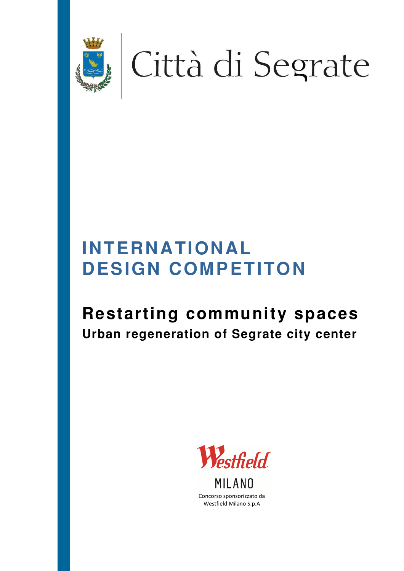

# Città di Segrate

# **INTERNATIONAL DESIGN COMPETITON**

# **Restarting community spaces Urban regeneration of Segrate city center**

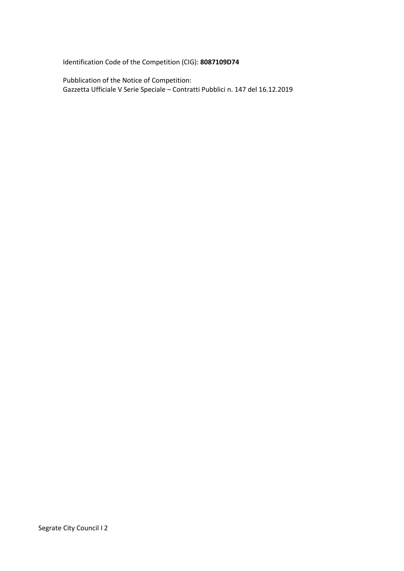#### Identification Code of the Competition (CIG): **8087109D74**

Pubblication of the Notice of Competition: Gazzetta Ufficiale V Serie Speciale – Contratti Pubblici n. 147 del 16.12.2019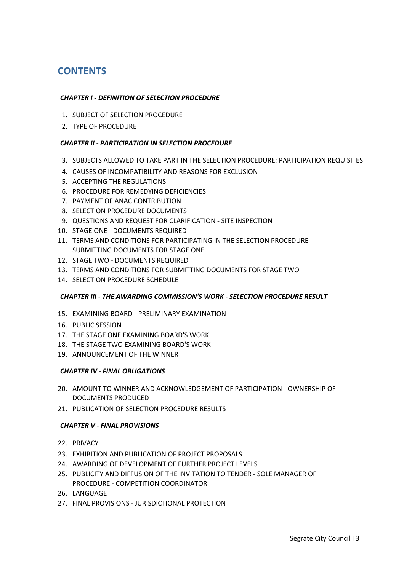### **CONTENTS**

#### *CHAPTER I - DEFINITION OF SELECTION PROCEDURE*

- 1. SUBJECT OF SELECTION PROCEDURE
- 2. TYPE OF PROCEDURE

#### *CHAPTER II - PARTICIPATION IN SELECTION PROCEDURE*

- 3. SUBJECTS ALLOWED TO TAKE PART IN THE SELECTION PROCEDURE: PARTICIPATION REQUISITES
- 4. CAUSES OF INCOMPATIBILITY AND REASONS FOR EXCLUSION
- 5. ACCEPTING THE REGULATIONS
- 6. PROCEDURE FOR REMEDYING DEFICIENCIES
- 7. PAYMENT OF ANAC CONTRIBUTION
- 8. SELECTION PROCEDURE DOCUMENTS
- 9. QUESTIONS AND REQUEST FOR CLARIFICATION SITE INSPECTION
- 10. STAGE ONE DOCUMENTS REQUIRED
- 11. TERMS AND CONDITIONS FOR PARTICIPATING IN THE SELECTION PROCEDURE SUBMITTING DOCUMENTS FOR STAGE ONE
- 12. STAGE TWO DOCUMENTS REQUIRED
- 13. TERMS AND CONDITIONS FOR SUBMITTING DOCUMENTS FOR STAGE TWO
- 14. SELECTION PROCEDURE SCHEDULE

#### *CHAPTER III - THE AWARDING COMMISSION'S WORK - SELECTION PROCEDURE RESULT*

- 15. EXAMINING BOARD PRELIMINARY EXAMINATION
- 16. PUBLIC SESSION
- 17. THE STAGE ONE EXAMINING BOARD'S WORK
- 18. THE STAGE TWO EXAMINING BOARD'S WORK
- 19. ANNOUNCEMENT OF THE WINNER

#### *CHAPTER IV - FINAL OBLIGATIONS*

- 20. AMOUNT TO WINNER AND ACKNOWLEDGEMENT OF PARTICIPATION OWNERSHIP OF DOCUMENTS PRODUCED
- 21. PUBLICATION OF SELECTION PROCEDURE RESULTS

#### *CHAPTER V - FINAL PROVISIONS*

- 22. PRIVACY
- 23. EXHIBITION AND PUBLICATION OF PROJECT PROPOSALS
- 24. AWARDING OF DEVELOPMENT OF FURTHER PROJECT LEVELS
- 25. PUBLICITY AND DIFFUSION OF THE INVITATION TO TENDER SOLE MANAGER OF PROCEDURE - COMPETITION COORDINATOR
- 26. LANGUAGE
- 27. FINAL PROVISIONS JURISDICTIONAL PROTECTION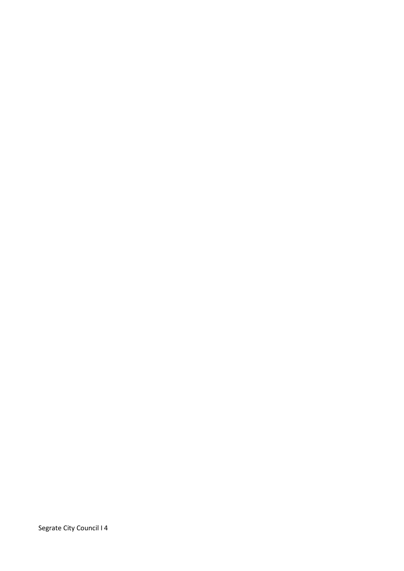Segrate City Council I 4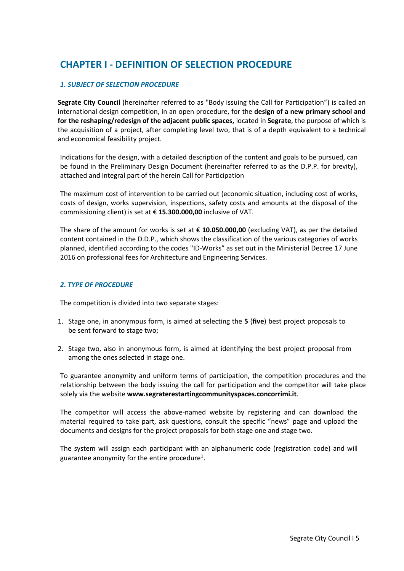## **CHAPTER I - DEFINITION OF SELECTION PROCEDURE**

#### *1. SUBJECT OF SELECTION PROCEDURE*

**Segrate City Council** (hereinafter referred to as "Body issuing the Call for Participation") is called an international design competition, in an open procedure, for the **design of a new primary school and for the reshaping/redesign of the adjacent public spaces,** located in **Segrate**, the purpose of which is the acquisition of a project, after completing level two, that is of a depth equivalent to a technical and economical feasibility project.

Indications for the design, with a detailed description of the content and goals to be pursued, can be found in the Preliminary Design Document (hereinafter referred to as the D.P.P. for brevity), attached and integral part of the herein Call for Participation

The maximum cost of intervention to be carried out (economic situation, including cost of works, costs of design, works supervision, inspections, safety costs and amounts at the disposal of the commissioning client) is set at € **15.300.000,00** inclusive of VAT.

The share of the amount for works is set at € **10.050.000,00** (excluding VAT), as per the detailed content contained in the D.D.P., which shows the classification of the various categories of works planned, identified according to the codes "ID-Works" as set out in the Ministerial Decree 17 June 2016 on professional fees for Architecture and Engineering Services.

#### *2. TYPE OF PROCEDURE*

The competition is divided into two separate stages:

- 1. Stage one, in anonymous form, is aimed at selecting the **5** (**five**) best project proposals to be sent forward to stage two;
- 2. Stage two, also in anonymous form, is aimed at identifying the best project proposal from among the ones selected in stage one.

To guarantee anonymity and uniform terms of participation, the competition procedures and the relationship between the body issuing the call for participation and the competitor will take place solely via the website **www.segraterestartingcommunityspaces.concorrimi.it**.

The competitor will access the above-named website by registering and can download the material required to take part, ask questions, consult the specific "news" page and upload the documents and designs for the project proposals for both stage one and stage two.

The system will assign each participant with an alphanumeric code (registration code) and will guarantee anonymity for the entire procedure<sup>1</sup>.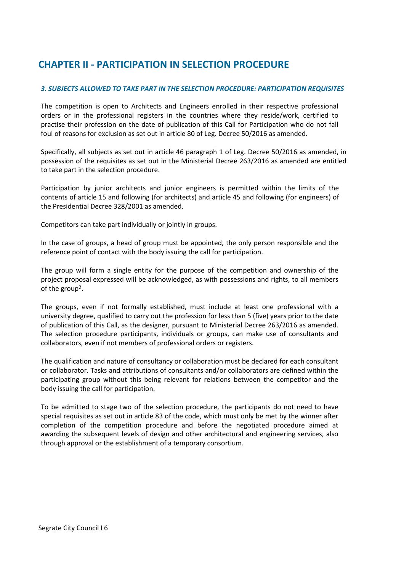# **CHAPTER II - PARTICIPATION IN SELECTION PROCEDURE**

#### *3. SUBJECTS ALLOWED TO TAKE PART IN THE SELECTION PROCEDURE: PARTICIPATION REQUISITES*

The competition is open to Architects and Engineers enrolled in their respective professional orders or in the professional registers in the countries where they reside/work, certified to practise their profession on the date of publication of this Call for Participation who do not fall foul of reasons for exclusion as set out in article 80 of Leg. Decree 50/2016 as amended.

Specifically, all subjects as set out in article 46 paragraph 1 of Leg. Decree 50/2016 as amended, in possession of the requisites as set out in the Ministerial Decree 263/2016 as amended are entitled to take part in the selection procedure.

Participation by junior architects and junior engineers is permitted within the limits of the contents of article 15 and following (for architects) and article 45 and following (for engineers) of the Presidential Decree 328/2001 as amended.

Competitors can take part individually or jointly in groups.

In the case of groups, a head of group must be appointed, the only person responsible and the reference point of contact with the body issuing the call for participation.

The group will form a single entity for the purpose of the competition and ownership of the project proposal expressed will be acknowledged, as with possessions and rights, to all members of the group<sup>2</sup>.

The groups, even if not formally established, must include at least one professional with a university degree, qualified to carry out the profession for less than 5 (five) years prior to the date of publication of this Call, as the designer, pursuant to Ministerial Decree 263/2016 as amended. The selection procedure participants, individuals or groups, can make use of consultants and collaborators, even if not members of professional orders or registers.

The qualification and nature of consultancy or collaboration must be declared for each consultant or collaborator. Tasks and attributions of consultants and/or collaborators are defined within the participating group without this being relevant for relations between the competitor and the body issuing the call for participation.

To be admitted to stage two of the selection procedure, the participants do not need to have special requisites as set out in article 83 of the code, which must only be met by the winner after completion of the competition procedure and before the negotiated procedure aimed at awarding the subsequent levels of design and other architectural and engineering services, also through approval or the establishment of a temporary consortium.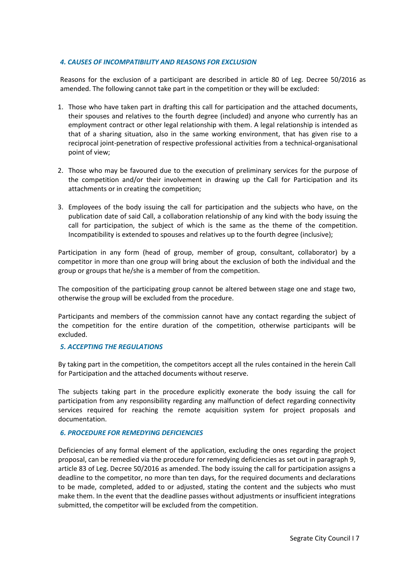#### *4. CAUSES OF INCOMPATIBILITY AND REASONS FOR EXCLUSION*

Reasons for the exclusion of a participant are described in article 80 of Leg. Decree 50/2016 as amended. The following cannot take part in the competition or they will be excluded:

- 1. Those who have taken part in drafting this call for participation and the attached documents, their spouses and relatives to the fourth degree (included) and anyone who currently has an employment contract or other legal relationship with them. A legal relationship is intended as that of a sharing situation, also in the same working environment, that has given rise to a reciprocal joint-penetration of respective professional activities from a technical-organisational point of view;
- 2. Those who may be favoured due to the execution of preliminary services for the purpose of the competition and/or their involvement in drawing up the Call for Participation and its attachments or in creating the competition;
- 3. Employees of the body issuing the call for participation and the subjects who have, on the publication date of said Call, a collaboration relationship of any kind with the body issuing the call for participation, the subject of which is the same as the theme of the competition. Incompatibility is extended to spouses and relatives up to the fourth degree (inclusive);

Participation in any form (head of group, member of group, consultant, collaborator) by a competitor in more than one group will bring about the exclusion of both the individual and the group or groups that he/she is a member of from the competition.

The composition of the participating group cannot be altered between stage one and stage two, otherwise the group will be excluded from the procedure.

Participants and members of the commission cannot have any contact regarding the subject of the competition for the entire duration of the competition, otherwise participants will be excluded.

#### *5. ACCEPTING THE REGULATIONS*

By taking part in the competition, the competitors accept all the rules contained in the herein Call for Participation and the attached documents without reserve.

The subjects taking part in the procedure explicitly exonerate the body issuing the call for participation from any responsibility regarding any malfunction of defect regarding connectivity services required for reaching the remote acquisition system for project proposals and documentation.

#### *6. PROCEDURE FOR REMEDYING DEFICIENCIES*

Deficiencies of any formal element of the application, excluding the ones regarding the project proposal, can be remedied via the procedure for remedying deficiencies as set out in paragraph 9, article 83 of Leg. Decree 50/2016 as amended. The body issuing the call for participation assigns a deadline to the competitor, no more than ten days, for the required documents and declarations to be made, completed, added to or adjusted, stating the content and the subjects who must make them. In the event that the deadline passes without adjustments or insufficient integrations submitted, the competitor will be excluded from the competition.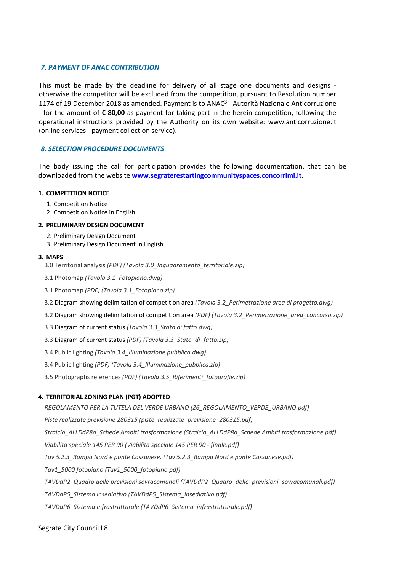#### *7. PAYMENT OF ANAC CONTRIBUTION*

This must be made by the deadline for delivery of all stage one documents and designs otherwise the competitor will be excluded from the competition, pursuant to Resolution number 1174 of 19 December 2018 as amended. Payment is to ANAC<sup>3</sup> - Autorità Nazionale Anticorruzione - for the amount of **€ 80,00** as payment for taking part in the herein competition, following the operational instructions provided by the Authority on its own website: www.anticorruzione.it (online services - payment collection service).

#### *8. SELECTION PROCEDURE DOCUMENTS*

The body issuing the call for participation provides the following documentation, that can be downloaded from the website **www.segraterestartingcommunityspaces.concorrimi.it**.

#### **1. COMPETITION NOTICE**

- 1. Competition Notice
- 2. Competition Notice in English

#### **2. PRELIMINARY DESIGN DOCUMENT**

- 2. Preliminary Design Document
- 3. Preliminary Design Document in English

#### **3. MAPS**

- 3.0 Territorial analysis *(PDF) (Tavola 3.0\_Inquadramento\_territoriale.zip)*
- 3.1 Photomap *(Tavola 3.1\_Fotopiano.dwg)*
- 3.1 Photomap *(PDF) (Tavola 3.1\_Fotopiano.zip)*
- 3.2 Diagram showing delimitation of competition area *(Tavola 3.2\_Perimetrazione area di progetto.dwg)*
- 3.2 Diagram showing delimitation of competition area *(PDF) (Tavola 3.2\_Perimetrazione\_area\_concorso.zip)*
- 3.3 Diagram of current status *(Tavola 3.3\_Stato di fatto.dwg)*
- 3.3 Diagram of current status *(PDF) (Tavola 3.3\_Stato\_di\_fatto.zip)*
- 3.4 Public lighting *(Tavola 3.4\_Illuminazione pubblica.dwg)*
- 3.4 Public lighting *(PDF) (Tavola 3.4\_Illuminazione\_pubblica.zip)*
- 3.5 Photographs references *(PDF) (Tavola 3.5\_Riferimenti\_fotografie.zip)*

#### **4. TERRITORIAL ZONING PLAN (PGT) ADOPTED**

*REGOLAMENTO PER LA TUTELA DEL VERDE URBANO (26\_REGOLAMENTO\_VERDE\_URBANO.pdf) Piste realizzate previsione 280315 (piste\_realizzate\_previsione\_280315.pdf) Stralcio\_ALLDdP8a\_Schede Ambiti trasformazione (Stralcio\_ALLDdP8a\_Schede Ambiti trasformazione.pdf) Viabilita speciale 145 PER 90 (Viabilita speciale 145 PER 90 - finale.pdf) Tav 5.2.3\_Rampa Nord e ponte Cassanese. (Tav 5.2.3\_Rampa Nord e ponte Cassanese.pdf) Tav1\_5000 fotopiano (Tav1\_5000\_fotopiano.pdf) TAVDdP2\_Quadro delle previsioni sovracomunali (TAVDdP2\_Quadro\_delle\_previsioni\_sovracomunali.pdf) TAVDdP5\_Sistema insediativo (TAVDdP5\_Sistema\_insediativo.pdf) TAVDdP6\_Sistema infrastrutturale (TAVDdP6\_Sistema\_infrastrutturale.pdf)* 

#### Segrate City Council I 8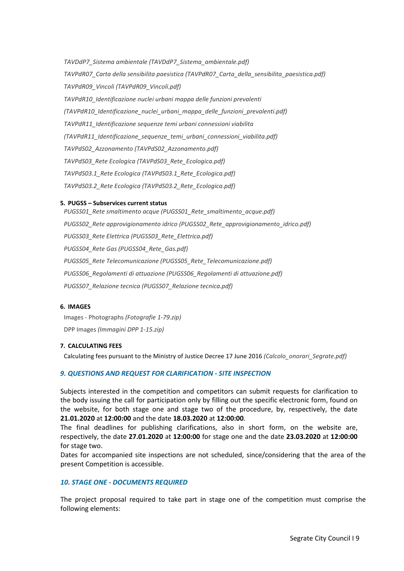*TAVDdP7\_Sistema ambientale (TAVDdP7\_Sistema\_ambientale.pdf) TAVPdR07\_Carta della sensibilita paesistica (TAVPdR07\_Carta\_della\_sensibilita\_paesistica.pdf) TAVPdR09\_Vincoli (TAVPdR09\_Vincoli.pdf) TAVPdR10\_Identificazione nuclei urbani mappa delle funzioni prevalenti (TAVPdR10\_Identificazione\_nuclei\_urbani\_mappa\_delle\_funzioni\_prevalenti.pdf) TAVPdR11\_Identificazione sequenze temi urbani connessioni viabilita (TAVPdR11\_Identificazione\_sequenze\_temi\_urbani\_connessioni\_viabilita.pdf) TAVPdS02\_Azzonamento (TAVPdS02\_Azzonamento.pdf) TAVPdS03\_Rete Ecologica (TAVPdS03\_Rete\_Ecologica.pdf) TAVPdS03.1\_Rete Ecologica (TAVPdS03.1\_Rete\_Ecologica.pdf) TAVPdS03.2\_Rete Ecologica (TAVPdS03.2\_Rete\_Ecologica.pdf)* 

#### **5. PUGSS – Subservices current status**

*PUGSS01\_Rete smaltimento acque (PUGSS01\_Rete\_smaltimento\_acque.pdf) PUGSS02\_Rete approvigionamento idrico (PUGSS02\_Rete\_approvigionamento\_idrico.pdf) PUGSS03\_Rete Elettrica (PUGSS03\_Rete\_Elettrica.pdf) PUGSS04\_Rete Gas (PUGSS04\_Rete\_Gas.pdf) PUGSS05\_Rete Telecomunicazione (PUGSS05\_Rete\_Telecomunicazione.pdf) PUGSS06\_Regolamenti di attuazione (PUGSS06\_Regolamenti di attuazione.pdf) PUGSS07\_Relazione tecnica (PUGSS07\_Relazione tecnica.pdf)* 

#### **6. IMAGES**

Images - Photographs *(Fotografie 1-79.zip)*  DPP Images *(Immagini DPP 1-15.zip)*

#### **7. CALCULATING FEES**

Calculating fees pursuant to the Ministry of Justice Decree 17 June 2016 *(Calcolo\_onorari\_Segrate.pdf)*

#### *9. QUESTIONS AND REQUEST FOR CLARIFICATION - SITE INSPECTION*

Subjects interested in the competition and competitors can submit requests for clarification to the body issuing the call for participation only by filling out the specific electronic form, found on the website, for both stage one and stage two of the procedure, by, respectively, the date **21.01.2020** at **12:00:00** and the date **18.03.2020** at **12:00:00**.

The final deadlines for publishing clarifications, also in short form, on the website are, respectively, the date **27.01.2020** at **12:00:00** for stage one and the date **23.03.2020** at **12:00:00** for stage two.

Dates for accompanied site inspections are not scheduled, since/considering that the area of the present Competition is accessible.

#### *10. STAGE ONE - DOCUMENTS REQUIRED*

The project proposal required to take part in stage one of the competition must comprise the following elements: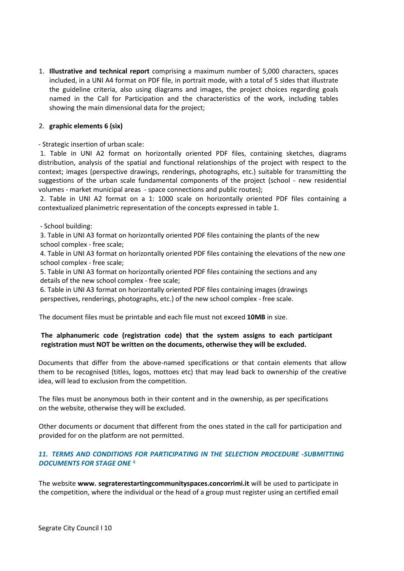1. **Illustrative and technical report** comprising a maximum number of 5,000 characters, spaces included, in a UNI A4 format on PDF file, in portrait mode, with a total of 5 sides that illustrate the guideline criteria, also using diagrams and images, the project choices regarding goals named in the Call for Participation and the characteristics of the work, including tables showing the main dimensional data for the project;

#### 2. **graphic elements 6 (six)**

- Strategic insertion of urban scale:

 1. Table in UNI A2 format on horizontally oriented PDF files, containing sketches, diagrams distribution, analysis of the spatial and functional relationships of the project with respect to the context; images (perspective drawings, renderings, photographs, etc.) suitable for transmitting the suggestions of the urban scale fundamental components of the project (school - new residential volumes - market municipal areas - space connections and public routes);

 2. Table in UNI A2 format on a 1: 1000 scale on horizontally oriented PDF files containing a contextualized planimetric representation of the concepts expressed in table 1.

- School building:

 3. Table in UNI A3 format on horizontally oriented PDF files containing the plants of the new school complex - free scale;

 4. Table in UNI A3 format on horizontally oriented PDF files containing the elevations of the new one school complex - free scale;

 5. Table in UNI A3 format on horizontally oriented PDF files containing the sections and any details of the new school complex - free scale;

 6. Table in UNI A3 format on horizontally oriented PDF files containing images (drawings perspectives, renderings, photographs, etc.) of the new school complex - free scale.

The document files must be printable and each file must not exceed **10MB** in size.

#### **The alphanumeric code (registration code) that the system assigns to each participant registration must NOT be written on the documents, otherwise they will be excluded.**

Documents that differ from the above-named specifications or that contain elements that allow them to be recognised (titles, logos, mottoes etc) that may lead back to ownership of the creative idea, will lead to exclusion from the competition.

The files must be anonymous both in their content and in the ownership, as per specifications on the website, otherwise they will be excluded.

Other documents or document that different from the ones stated in the call for participation and provided for on the platform are not permitted.

#### *11. TERMS AND CONDITIONS FOR PARTICIPATING IN THE SELECTION PROCEDURE -SUBMITTING DOCUMENTS FOR STAGE ONE* 4

The website **www. segraterestartingcommunityspaces.concorrimi.it** will be used to participate in the competition, where the individual or the head of a group must register using an certified email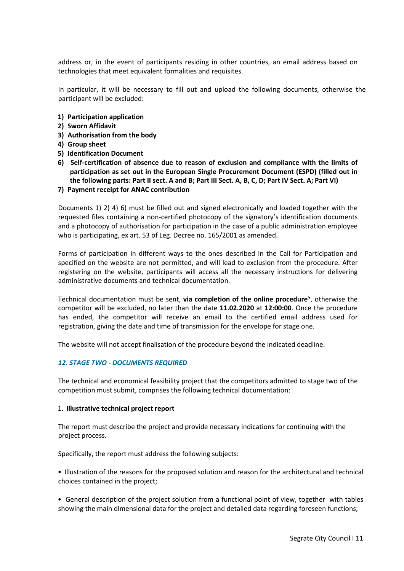address or, in the event of participants residing in other countries, an email address based on technologies that meet equivalent formalities and requisites.

In particular, it will be necessary to fill out and upload the following documents, otherwise the participant will be excluded:

- **1) Participation application**
- **2) Sworn Affidavit**
- **3) Authorisation from the body**
- **4) Group sheet**
- **5) Identification Document**
- **6) Self-certification of absence due to reason of exclusion and compliance with the limits of participation as set out in the European Single Procurement Document (ESPD) (filled out in the following parts: Part II sect. A and B; Part III Sect. A, B, C, D; Part IV Sect. A; Part VI)**
- **7) Payment receipt for ANAC contribution**

Documents 1) 2) 4) 6) must be filled out and signed electronically and loaded together with the requested files containing a non-certified photocopy of the signatory's identification documents and a photocopy of authorisation for participation in the case of a public administration employee who is participating, ex art. 53 of Leg. Decree no. 165/2001 as amended.

Forms of participation in different ways to the ones described in the Call for Participation and specified on the website are not permitted, and will lead to exclusion from the procedure. After registering on the website, participants will access all the necessary instructions for delivering administrative documents and technical documentation.

Technical documentation must be sent, **via completion of the online procedure**5, otherwise the competitor will be excluded, no later than the date **11.02.2020** at **12:00:00**. Once the procedure has ended, the competitor will receive an email to the certified email address used for registration, giving the date and time of transmission for the envelope for stage one.

The website will not accept finalisation of the procedure beyond the indicated deadline.

#### *12. STAGE TWO - DOCUMENTS REQUIRED*

The technical and economical feasibility project that the competitors admitted to stage two of the competition must submit, comprises the following technical documentation:

#### 1. **Illustrative technical project report**

The report must describe the project and provide necessary indications for continuing with the project process.

Specifically, the report must address the following subjects:

• Illustration of the reasons for the proposed solution and reason for the architectural and technical choices contained in the project;

• General description of the project solution from a functional point of view, together with tables showing the main dimensional data for the project and detailed data regarding foreseen functions;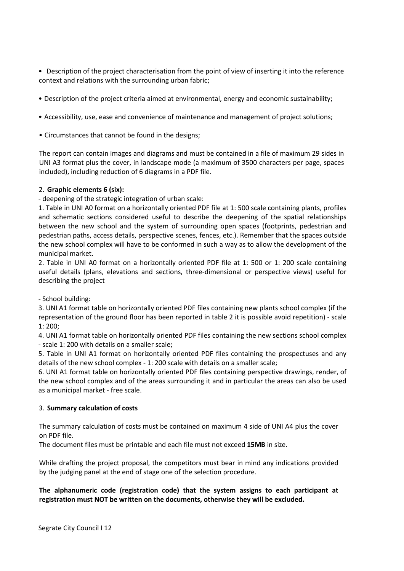- Description of the project characterisation from the point of view of inserting it into the reference context and relations with the surrounding urban fabric;
- Description of the project criteria aimed at environmental, energy and economic sustainability;
- Accessibility, use, ease and convenience of maintenance and management of project solutions;
- Circumstances that cannot be found in the designs;

The report can contain images and diagrams and must be contained in a file of maximum 29 sides in UNI A3 format plus the cover, in landscape mode (a maximum of 3500 characters per page, spaces included), including reduction of 6 diagrams in a PDF file.

#### 2. **Graphic elements 6 (six):**

- deepening of the strategic integration of urban scale:

1. Table in UNI A0 format on a horizontally oriented PDF file at 1: 500 scale containing plants, profiles and schematic sections considered useful to describe the deepening of the spatial relationships between the new school and the system of surrounding open spaces (footprints, pedestrian and pedestrian paths, access details, perspective scenes, fences, etc.). Remember that the spaces outside the new school complex will have to be conformed in such a way as to allow the development of the municipal market.

2. Table in UNI A0 format on a horizontally oriented PDF file at 1: 500 or 1: 200 scale containing useful details (plans, elevations and sections, three-dimensional or perspective views) useful for describing the project

#### - School building:

3. UNI A1 format table on horizontally oriented PDF files containing new plants school complex (if the representation of the ground floor has been reported in table 2 it is possible avoid repetition) - scale 1: 200;

4. UNI A1 format table on horizontally oriented PDF files containing the new sections school complex - scale 1: 200 with details on a smaller scale;

5. Table in UNI A1 format on horizontally oriented PDF files containing the prospectuses and any details of the new school complex - 1: 200 scale with details on a smaller scale;

6. UNI A1 format table on horizontally oriented PDF files containing perspective drawings, render, of the new school complex and of the areas surrounding it and in particular the areas can also be used as a municipal market - free scale.

#### 3. **Summary calculation of costs**

The summary calculation of costs must be contained on maximum 4 side of UNI A4 plus the cover on PDF file.

The document files must be printable and each file must not exceed **15MB** in size.

While drafting the project proposal, the competitors must bear in mind any indications provided by the judging panel at the end of stage one of the selection procedure.

#### **The alphanumeric code (registration code) that the system assigns to each participant at registration must NOT be written on the documents, otherwise they will be excluded.**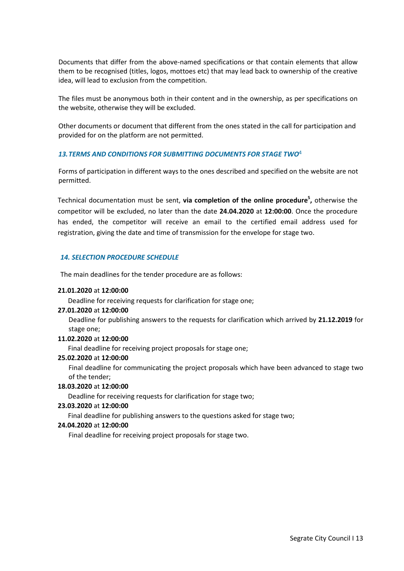Documents that differ from the above-named specifications or that contain elements that allow them to be recognised (titles, logos, mottoes etc) that may lead back to ownership of the creative idea, will lead to exclusion from the competition.

The files must be anonymous both in their content and in the ownership, as per specifications on the website, otherwise they will be excluded.

Other documents or document that different from the ones stated in the call for participation and provided for on the platform are not permitted.

#### *13.TERMS AND CONDITIONS FOR SUBMITTING DOCUMENTS FOR STAGE TWO*4

Forms of participation in different ways to the ones described and specified on the website are not permitted.

Technical documentation must be sent, **via completion of the online procedure<sup>5</sup> ,** otherwise the competitor will be excluded, no later than the date **24.04.2020** at **12:00:00**. Once the procedure has ended, the competitor will receive an email to the certified email address used for registration, giving the date and time of transmission for the envelope for stage two.

#### *14. SELECTION PROCEDURE SCHEDULE*

The main deadlines for the tender procedure are as follows:

#### **21.01.2020** at **12:00:00**

Deadline for receiving requests for clarification for stage one;

#### **27.01.2020** at **12:00:00**

Deadline for publishing answers to the requests for clarification which arrived by **21.12.2019** for stage one;

#### **11.02.2020** at **12:00:00**

Final deadline for receiving project proposals for stage one;

#### **25.02.2020** at **12:00:00**

Final deadline for communicating the project proposals which have been advanced to stage two of the tender;

#### **18.03.2020** at **12:00:00**

Deadline for receiving requests for clarification for stage two;

#### **23.03.2020** at **12:00:00**

Final deadline for publishing answers to the questions asked for stage two;

#### **24.04.2020** at **12:00:00**

Final deadline for receiving project proposals for stage two.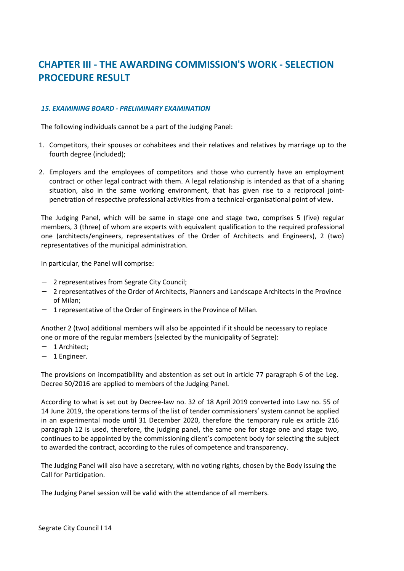# **CHAPTER III - THE AWARDING COMMISSION'S WORK - SELECTION PROCEDURE RESULT**

#### *15. EXAMINING BOARD - PRELIMINARY EXAMINATION*

The following individuals cannot be a part of the Judging Panel:

- 1. Competitors, their spouses or cohabitees and their relatives and relatives by marriage up to the fourth degree (included);
- 2. Employers and the employees of competitors and those who currently have an employment contract or other legal contract with them. A legal relationship is intended as that of a sharing situation, also in the same working environment, that has given rise to a reciprocal jointpenetration of respective professional activities from a technical-organisational point of view.

The Judging Panel, which will be same in stage one and stage two, comprises 5 (five) regular members, 3 (three) of whom are experts with equivalent qualification to the required professional one (architects/engineers, representatives of the Order of Architects and Engineers), 2 (two) representatives of the municipal administration.

In particular, the Panel will comprise:

- − 2 representatives from Segrate City Council;
- − 2 representatives of the Order of Architects, Planners and Landscape Architects in the Province of Milan;
- − 1 representative of the Order of Engineers in the Province of Milan.

Another 2 (two) additional members will also be appointed if it should be necessary to replace one or more of the regular members (selected by the municipality of Segrate):

- − 1 Architect;
- − 1 Engineer.

The provisions on incompatibility and abstention as set out in article 77 paragraph 6 of the Leg. Decree 50/2016 are applied to members of the Judging Panel.

According to what is set out by Decree-law no. 32 of 18 April 2019 converted into Law no. 55 of 14 June 2019, the operations terms of the list of tender commissioners' system cannot be applied in an experimental mode until 31 December 2020, therefore the temporary rule ex article 216 paragraph 12 is used, therefore, the judging panel, the same one for stage one and stage two, continues to be appointed by the commissioning client's competent body for selecting the subject to awarded the contract, according to the rules of competence and transparency.

The Judging Panel will also have a secretary, with no voting rights, chosen by the Body issuing the Call for Participation.

The Judging Panel session will be valid with the attendance of all members.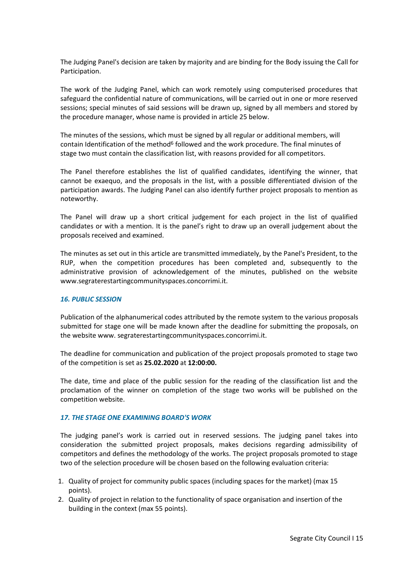The Judging Panel's decision are taken by majority and are binding for the Body issuing the Call for Participation.

The work of the Judging Panel, which can work remotely using computerised procedures that safeguard the confidential nature of communications, will be carried out in one or more reserved sessions; special minutes of said sessions will be drawn up, signed by all members and stored by the procedure manager, whose name is provided in article 25 below.

The minutes of the sessions, which must be signed by all regular or additional members, will contain Identification of the method<sup>6</sup> followed and the work procedure. The final minutes of stage two must contain the classification list, with reasons provided for all competitors.

The Panel therefore establishes the list of qualified candidates, identifying the winner, that cannot be exaequo, and the proposals in the list, with a possible differentiated division of the participation awards. The Judging Panel can also identify further project proposals to mention as noteworthy.

The Panel will draw up a short critical judgement for each project in the list of qualified candidates or with a mention. It is the panel's right to draw up an overall judgement about the proposals received and examined.

The minutes as set out in this article are transmitted immediately, by the Panel's President, to the RUP, when the competition procedures has been completed and, subsequently to the administrative provision of acknowledgement of the minutes, published on the website www.segraterestartingcommunityspaces.concorrimi.it.

#### *16. PUBLIC SESSION*

Publication of the alphanumerical codes attributed by the remote system to the various proposals submitted for stage one will be made known after the deadline for submitting the proposals, on the website www. segraterestartingcommunityspaces.concorrimi.it.

The deadline for communication and publication of the project proposals promoted to stage two of the competition is set as **25.02.2020** at **12:00:00.**

The date, time and place of the public session for the reading of the classification list and the proclamation of the winner on completion of the stage two works will be published on the competition website.

#### *17. THE STAGE ONE EXAMINING BOARD'S WORK*

The judging panel's work is carried out in reserved sessions. The judging panel takes into consideration the submitted project proposals, makes decisions regarding admissibility of competitors and defines the methodology of the works. The project proposals promoted to stage two of the selection procedure will be chosen based on the following evaluation criteria:

- 1. Quality of project for community public spaces (including spaces for the market) (max 15 points).
- 2. Quality of project in relation to the functionality of space organisation and insertion of the building in the context (max 55 points).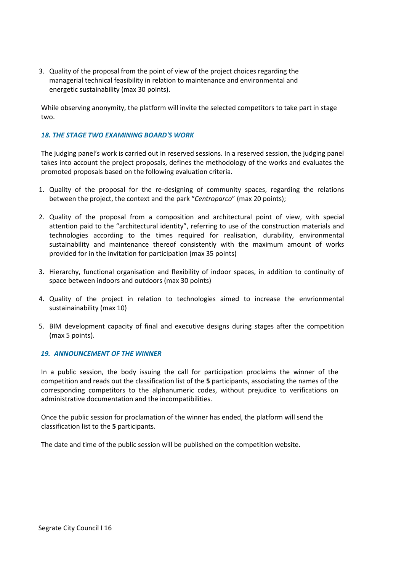3. Quality of the proposal from the point of view of the project choices regarding the managerial technical feasibility in relation to maintenance and environmental and energetic sustainability (max 30 points).

While observing anonymity, the platform will invite the selected competitors to take part in stage two.

#### *18. THE STAGE TWO EXAMINING BOARD'S WORK*

The judging panel's work is carried out in reserved sessions. In a reserved session, the judging panel takes into account the project proposals, defines the methodology of the works and evaluates the promoted proposals based on the following evaluation criteria.

- 1. Quality of the proposal for the re-designing of community spaces, regarding the relations between the project, the context and the park "*Centroparco*" (max 20 points);
- 2. Quality of the proposal from a composition and architectural point of view, with special attention paid to the "architectural identity", referring to use of the construction materials and technologies according to the times required for realisation, durability, environmental sustainability and maintenance thereof consistently with the maximum amount of works provided for in the invitation for participation (max 35 points)
- 3. Hierarchy, functional organisation and flexibility of indoor spaces, in addition to continuity of space between indoors and outdoors (max 30 points)
- 4. Quality of the project in relation to technologies aimed to increase the envrionmental sustainainability (max 10)
- 5. BIM development capacity of final and executive designs during stages after the competition (max 5 points).

#### *19. ANNOUNCEMENT OF THE WINNER*

In a public session, the body issuing the call for participation proclaims the winner of the competition and reads out the classification list of the **5** participants, associating the names of the corresponding competitors to the alphanumeric codes, without prejudice to verifications on administrative documentation and the incompatibilities.

Once the public session for proclamation of the winner has ended, the platform will send the classification list to the **5** participants.

The date and time of the public session will be published on the competition website.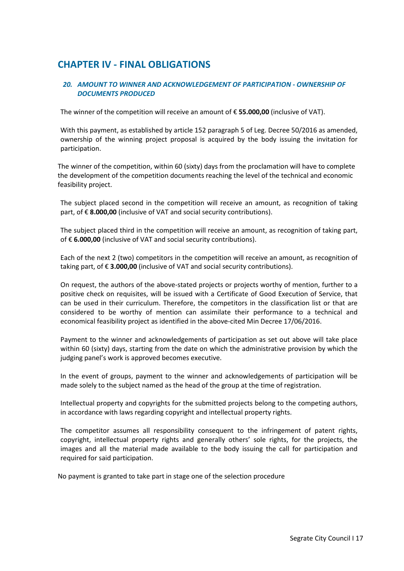## **CHAPTER IV - FINAL OBLIGATIONS**

#### *20. AMOUNT TO WINNER AND ACKNOWLEDGEMENT OF PARTICIPATION - OWNERSHIP OF DOCUMENTS PRODUCED*

The winner of the competition will receive an amount of € **55.000,00** (inclusive of VAT).

With this payment, as established by article 152 paragraph 5 of Leg. Decree 50/2016 as amended, ownership of the winning project proposal is acquired by the body issuing the invitation for participation.

The winner of the competition, within 60 (sixty) days from the proclamation will have to complete the development of the competition documents reaching the level of the technical and economic feasibility project.

The subject placed second in the competition will receive an amount, as recognition of taking part, of € **8.000,00** (inclusive of VAT and social security contributions).

The subject placed third in the competition will receive an amount, as recognition of taking part, of € **6.000,00** (inclusive of VAT and social security contributions).

Each of the next 2 (two) competitors in the competition will receive an amount, as recognition of taking part, of € **3.000,00** (inclusive of VAT and social security contributions).

On request, the authors of the above-stated projects or projects worthy of mention, further to a positive check on requisites, will be issued with a Certificate of Good Execution of Service, that can be used in their curriculum. Therefore, the competitors in the classification list or that are considered to be worthy of mention can assimilate their performance to a technical and economical feasibility project as identified in the above-cited Min Decree 17/06/2016.

Payment to the winner and acknowledgements of participation as set out above will take place within 60 (sixty) days, starting from the date on which the administrative provision by which the judging panel's work is approved becomes executive.

In the event of groups, payment to the winner and acknowledgements of participation will be made solely to the subject named as the head of the group at the time of registration.

Intellectual property and copyrights for the submitted projects belong to the competing authors, in accordance with laws regarding copyright and intellectual property rights.

The competitor assumes all responsibility consequent to the infringement of patent rights, copyright, intellectual property rights and generally others' sole rights, for the projects, the images and all the material made available to the body issuing the call for participation and required for said participation.

No payment is granted to take part in stage one of the selection procedure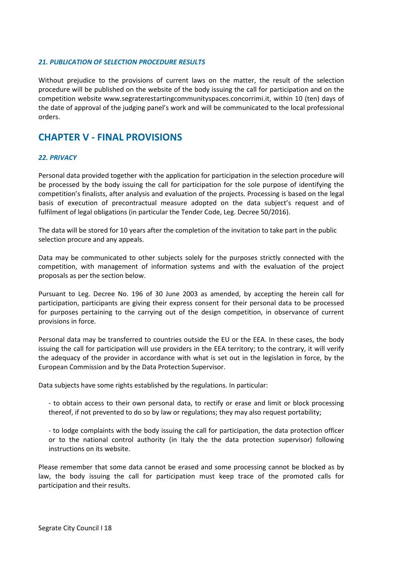#### *21. PUBLICATION OF SELECTION PROCEDURE RESULTS*

Without prejudice to the provisions of current laws on the matter, the result of the selection procedure will be published on the website of the body issuing the call for participation and on the competition website www.segraterestartingcommunityspaces.concorrimi.it, within 10 (ten) days of the date of approval of the judging panel's work and will be communicated to the local professional orders.

#### **CHAPTER V - FINAL PROVISIONS**

#### *22. PRIVACY*

Personal data provided together with the application for participation in the selection procedure will be processed by the body issuing the call for participation for the sole purpose of identifying the competition's finalists, after analysis and evaluation of the projects. Processing is based on the legal basis of execution of precontractual measure adopted on the data subject's request and of fulfilment of legal obligations (in particular the Tender Code, Leg. Decree 50/2016).

The data will be stored for 10 years after the completion of the invitation to take part in the public selection procure and any appeals.

Data may be communicated to other subjects solely for the purposes strictly connected with the competition, with management of information systems and with the evaluation of the project proposals as per the section below.

Pursuant to Leg. Decree No. 196 of 30 June 2003 as amended, by accepting the herein call for participation, participants are giving their express consent for their personal data to be processed for purposes pertaining to the carrying out of the design competition, in observance of current provisions in force.

Personal data may be transferred to countries outside the EU or the EEA. In these cases, the body issuing the call for participation will use providers in the EEA territory; to the contrary, it will verify the adequacy of the provider in accordance with what is set out in the legislation in force, by the European Commission and by the Data Protection Supervisor.

Data subjects have some rights established by the regulations. In particular:

- to obtain access to their own personal data, to rectify or erase and limit or block processing thereof, if not prevented to do so by law or regulations; they may also request portability;

- to lodge complaints with the body issuing the call for participation, the data protection officer or to the national control authority (in Italy the the data protection supervisor) following instructions on its website.

Please remember that some data cannot be erased and some processing cannot be blocked as by law, the body issuing the call for participation must keep trace of the promoted calls for participation and their results.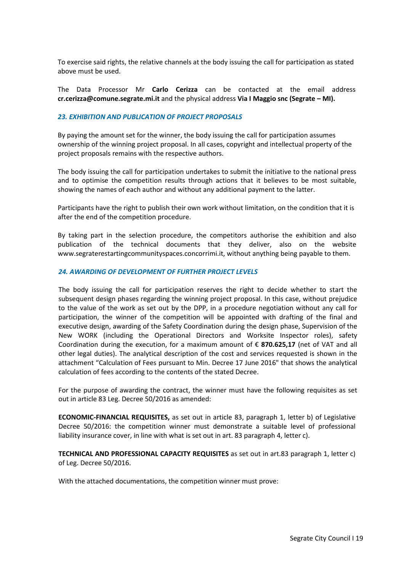To exercise said rights, the relative channels at the body issuing the call for participation as stated above must be used.

The Data Processor Mr **Carlo Cerizza** can be contacted at the email address **cr.cerizza@comune.segrate.mi.it** and the physical address **Via I Maggio snc (Segrate – MI).** 

#### *23. EXHIBITION AND PUBLICATION OF PROJECT PROPOSALS*

By paying the amount set for the winner, the body issuing the call for participation assumes ownership of the winning project proposal. In all cases, copyright and intellectual property of the project proposals remains with the respective authors.

The body issuing the call for participation undertakes to submit the initiative to the national press and to optimise the competition results through actions that it believes to be most suitable, showing the names of each author and without any additional payment to the latter.

Participants have the right to publish their own work without limitation, on the condition that it is after the end of the competition procedure.

By taking part in the selection procedure, the competitors authorise the exhibition and also publication of the technical documents that they deliver, also on the website www.segraterestartingcommunityspaces.concorrimi.it, without anything being payable to them.

#### *24. AWARDING OF DEVELOPMENT OF FURTHER PROJECT LEVELS*

The body issuing the call for participation reserves the right to decide whether to start the subsequent design phases regarding the winning project proposal. In this case, without prejudice to the value of the work as set out by the DPP, in a procedure negotiation without any call for participation, the winner of the competition will be appointed with drafting of the final and executive design, awarding of the Safety Coordination during the design phase, Supervision of the New WORK (including the Operational Directors and Worksite Inspector roles), safety Coordination during the execution, for a maximum amount of € **870.625,17** (net of VAT and all other legal duties). The analytical description of the cost and services requested is shown in the attachment "Calculation of Fees pursuant to Min. Decree 17 June 2016" that shows the analytical calculation of fees according to the contents of the stated Decree.

For the purpose of awarding the contract, the winner must have the following requisites as set out in article 83 Leg. Decree 50/2016 as amended:

**ECONOMIC-FINANCIAL REQUISITES,** as set out in article 83, paragraph 1, letter b) of Legislative Decree 50/2016: the competition winner must demonstrate a suitable level of professional liability insurance cover, in line with what is set out in art. 83 paragraph 4, letter c).

**TECHNICAL AND PROFESSIONAL CAPACITY REQUISITES** as set out in art.83 paragraph 1, letter c) of Leg. Decree 50/2016.

With the attached documentations, the competition winner must prove: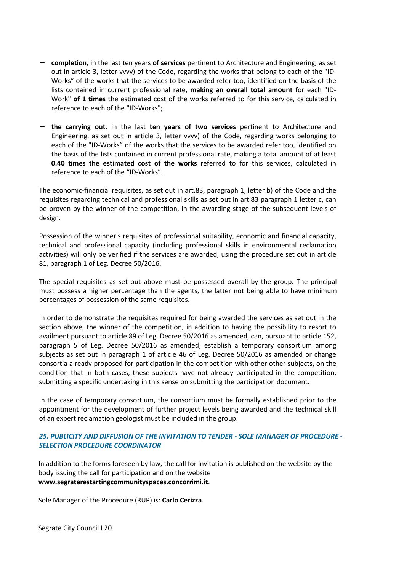- − **completion,** in the last ten years **of services** pertinent to Architecture and Engineering, as set out in article 3, letter vvvv) of the Code, regarding the works that belong to each of the "ID-Works" of the works that the services to be awarded refer too, identified on the basis of the lists contained in current professional rate, **making an overall total amount** for each "ID-Work" **of 1 times** the estimated cost of the works referred to for this service, calculated in reference to each of the "ID-Works";
- − **the carrying out**, in the last **ten years of two services** pertinent to Architecture and Engineering, as set out in article 3, letter vvvv) of the Code, regarding works belonging to each of the "ID-Works" of the works that the services to be awarded refer too, identified on the basis of the lists contained in current professional rate, making a total amount of at least **0.40 times the estimated cost of the works** referred to for this services, calculated in reference to each of the "ID-Works".

The economic-financial requisites, as set out in art.83, paragraph 1, letter b) of the Code and the requisites regarding technical and professional skills as set out in art.83 paragraph 1 letter c, can be proven by the winner of the competition, in the awarding stage of the subsequent levels of design.

Possession of the winner's requisites of professional suitability, economic and financial capacity, technical and professional capacity (including professional skills in environmental reclamation activities) will only be verified if the services are awarded, using the procedure set out in article 81, paragraph 1 of Leg. Decree 50/2016.

The special requisites as set out above must be possessed overall by the group. The principal must possess a higher percentage than the agents, the latter not being able to have minimum percentages of possession of the same requisites.

In order to demonstrate the requisites required for being awarded the services as set out in the section above, the winner of the competition, in addition to having the possibility to resort to availment pursuant to article 89 of Leg. Decree 50/2016 as amended, can, pursuant to article 152, paragraph 5 of Leg. Decree 50/2016 as amended, establish a temporary consortium among subjects as set out in paragraph 1 of article 46 of Leg. Decree 50/2016 as amended or change consortia already proposed for participation in the competition with other other subjects, on the condition that in both cases, these subjects have not already participated in the competition, submitting a specific undertaking in this sense on submitting the participation document.

In the case of temporary consortium, the consortium must be formally established prior to the appointment for the development of further project levels being awarded and the technical skill of an expert reclamation geologist must be included in the group.

#### *25. PUBLICITY AND DIFFUSION OF THE INVITATION TO TENDER - SOLE MANAGER OF PROCEDURE - SELECTION PROCEDURE COORDINATOR*

In addition to the forms foreseen by law, the call for invitation is published on the website by the body issuing the call for participation and on the website **www.segraterestartingcommunityspaces.concorrimi.it**.

Sole Manager of the Procedure (RUP) is: **Carlo Cerizza**.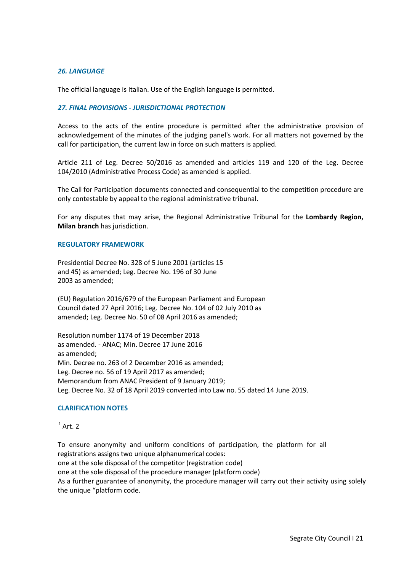#### *26. LANGUAGE*

The official language is Italian. Use of the English language is permitted.

#### *27. FINAL PROVISIONS - JURISDICTIONAL PROTECTION*

Access to the acts of the entire procedure is permitted after the administrative provision of acknowledgement of the minutes of the judging panel's work. For all matters not governed by the call for participation, the current law in force on such matters is applied.

Article 211 of Leg. Decree 50/2016 as amended and articles 119 and 120 of the Leg. Decree 104/2010 (Administrative Process Code) as amended is applied.

The Call for Participation documents connected and consequential to the competition procedure are only contestable by appeal to the regional administrative tribunal.

For any disputes that may arise, the Regional Administrative Tribunal for the **Lombardy Region, Milan branch** has jurisdiction.

#### **REGULATORY FRAMEWORK**

Presidential Decree No. 328 of 5 June 2001 (articles 15 and 45) as amended; Leg. Decree No. 196 of 30 June 2003 as amended;

(EU) Regulation 2016/679 of the European Parliament and European Council dated 27 April 2016; Leg. Decree No. 104 of 02 July 2010 as amended; Leg. Decree No. 50 of 08 April 2016 as amended;

Resolution number 1174 of 19 December 2018 as amended. - ANAC; Min. Decree 17 June 2016 as amended; Min. Decree no. 263 of 2 December 2016 as amended; Leg. Decree no. 56 of 19 April 2017 as amended; Memorandum from ANAC President of 9 January 2019; Leg. Decree No. 32 of 18 April 2019 converted into Law no. 55 dated 14 June 2019.

#### **CLARIFICATION NOTES**

 $<sup>1</sup>$  Art. 2</sup>

To ensure anonymity and uniform conditions of participation, the platform for all registrations assigns two unique alphanumerical codes: one at the sole disposal of the competitor (registration code) one at the sole disposal of the procedure manager (platform code) As a further guarantee of anonymity, the procedure manager will carry out their activity using solely the unique "platform code.